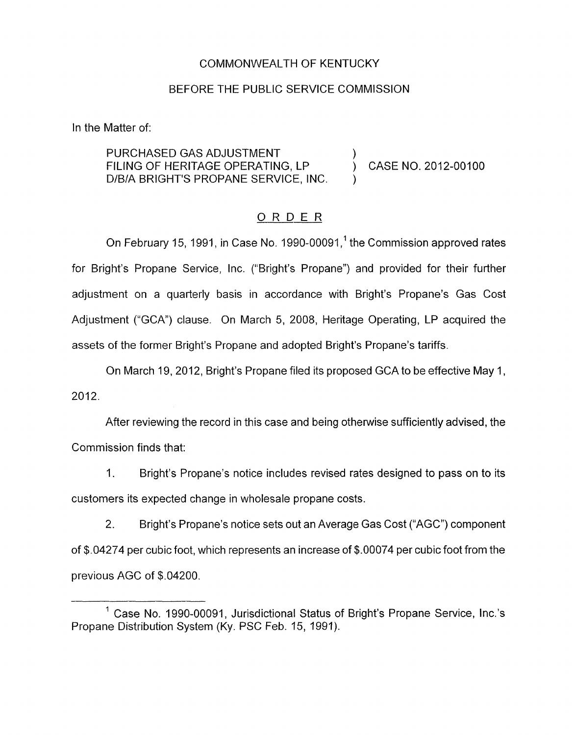#### COMMONWEALTH OF KENTUCKY

### BEFORE THE PUBLIC SERVICE COMMISSION

In the Matter of:

PURCHASED GAS ADJUSTMENT FILING OF HERITAGE OPERATING, LP (CASE NO. 2012-00100) D/B/A BRIGHT'S PROPANE SERVICE, INC.

### ORDER

On February 15, 1991, in Case No. 1990-00091,<sup>1</sup> the Commission approved rates for Bright's Propane Service, Inc. ("Bright's Propane") and provided for their further adjustment on a quarterly basis in accordance with Bright's Propane's Gas Cost Adjustment ("GCA") clause. On March 5, 2008, Heritage Operating, LP acquired the assets of the former Bright's Propane and adopted Bright's Propane's tariffs.

On March 19, 2012, Bright's Propane filed its proposed GCA to be effective May 1 ,  $2012.$ 

After reviewing the record in this case and being otherwise sufficiently advised, the Commission finds that:

1. Bright's Propane's notice includes revised rates designed to pass on to its customers its expected change in wholesale propane costs.

2. Bright's Propane's notice sets out an Average Gas Cost ("AGC") component of \$.04274 per cubic foot, which represents an increase of \$.00074 per cubic foot from the previous AGC of \$.04200.

 $<sup>1</sup>$  Case No. 1990-00091, Jurisdictional Status of Bright's Propane Service, Inc.'s</sup> Propane Distribution System (Ky. PSC Feb. 15, 1991).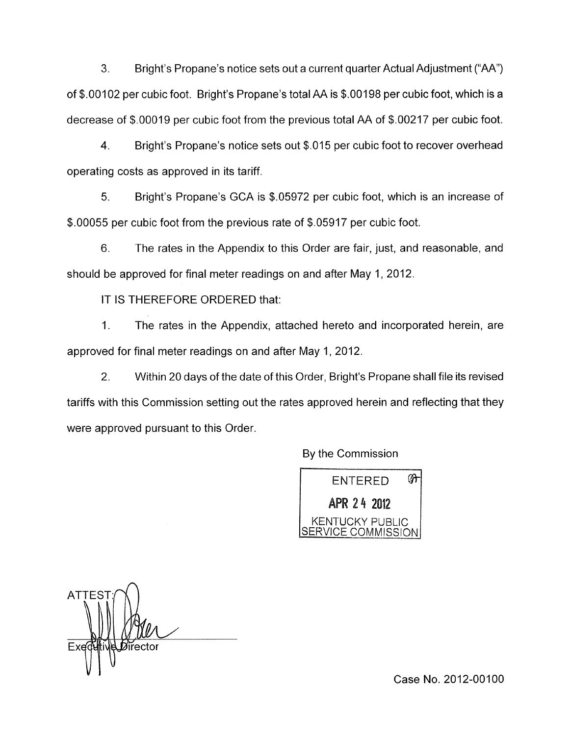**3.** Bright's Propane's notice sets out a current quarter Actual Adjustment ("AA") of \$.00102 per cubic foot. Bright's Propane's total AA is \$.00198 per cubic foot, which is a decrease of \$.00019 per cubic foot from the previous total AA of \$.00217 per cubic foot.

**4.** Bright's Propane's notice sets out \$015 per cubic foot to recover overhead operating costs as approved in its tariff.

*5.* Bright's Propane's GCA is \$05972 per cubic foot, which is an increase of \$.00055 per cubic foot from the previous rate of \$.05917 per cubic foot.

6. 'The rates in the Appendix to this Order are fair, just, and reasonable, and should be approved for final meter readings on and after May 1, 2012.

IT IS THEREFORE ORDERED that:

1. The rates in the Appendix, attached hereto and incorporated herein, are approved for final meter readings on and after May 1, 2012.

2. Within 20 days of the date of this Order, Bright's Propane shall file its revised tariffs with this Commission setting out the rates approved herein and reflecting that they were approved pursuant to this Order.

By the Commission



**ATTES VI"** 

Case No. 2012-00100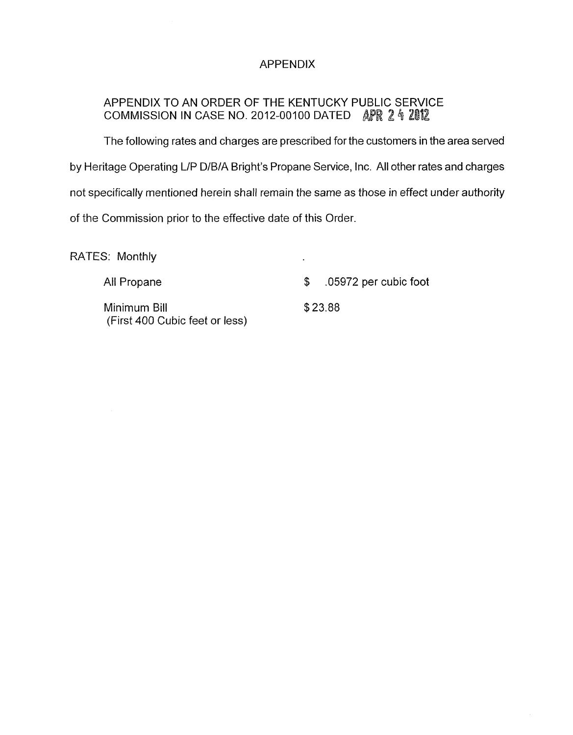## APPENDIX

# APPENDIX TO AN ORDER OF THE KENTUCKY PUBLIC SERVICE COMMISSION IN CASE NO. 2012-00100 DATED APR 2 4 2012

The following rates and charges are prescribed for the customers in the area served by Heritage Operating LIP D/B/A Bright's Propane Service, Inc. All other rates and charges not specifically mentioned herein shall remain the same as those in effect under authority of the Commission prior to the effective date of this Order.

RATES: Monthly

All Propane  $\qquad \qquad \bullet \qquad .05972$  per cubic foot

Minimum Bill \$23.88 (First 400 Cubic feet or less)